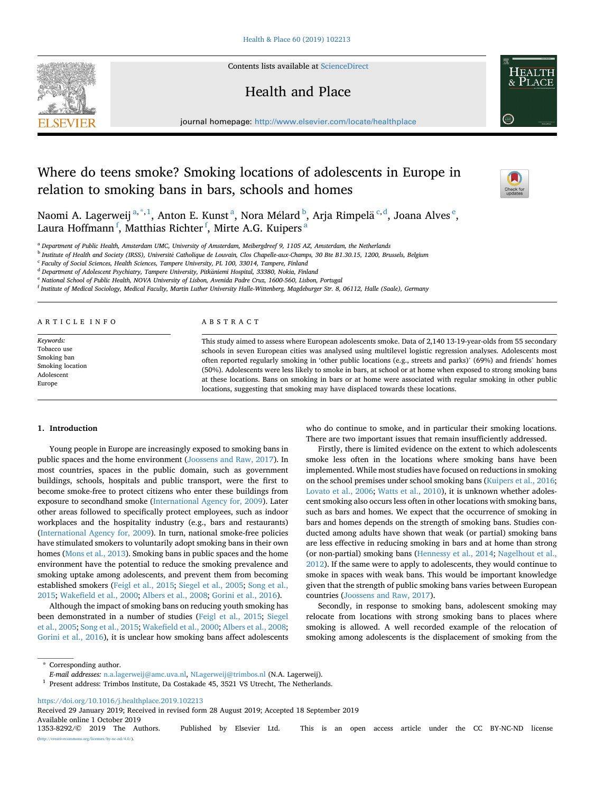Contents lists available at [ScienceDirect](www.sciencedirect.com/science/journal/13538292)

## Health and Place

journal homepage: [http://www.elsevier.com/locate/healthplace](https://http://www.elsevier.com/locate/healthplace) 

# Where do teens smoke? Smoking locations of adolescents in Europe in relation to smoking bans in bars, schools and homes

Naomi A. Lagerweij<sup>a,\*,1</sup>, Anton E. Kunst<sup>a</sup>, Nora Mélard<sup>b</sup>, Arja Rimpelä<sup>c,d</sup>, Joana Alves<sup>e</sup>, Laura Hoffmann<sup>f</sup>, Matthias Richter<sup>f</sup>, Mirte A.G. Kuipers<sup>a</sup>

<sup>a</sup> *Department of Public Health, Amsterdam UMC, University of Amsterdam, Meibergdreef 9, 1105 AZ, Amsterdam, the Netherlands* 

<sup>b</sup> Institute of Health and Society (IRSS), Université Catholique de Louvain, Clos Chapelle-aux-Champs, 30 Bte B1.30.15, 1200, Brussels, Belgium

<sup>c</sup> *Faculty of Social Sciences, Health Sciences, Tampere University, PL 100, 33014, Tampere, Finland* 

<sup>d</sup> Department of Adolescent Psychiatry, Tampere University, Pitkäniemi Hospital, 33380, Nokia, Finland

<sup>e</sup> *National School of Public Health, NOVA University of Lisbon, Avenida Padre Cruz, 1600-560, Lisbon, Portugal* 

<sup>f</sup> *Institute of Medical Sociology, Medical Faculty, Martin Luther University Halle-Wittenberg, Magdeburger Str. 8, 06112, Halle (Saale), Germany* 

ARTICLE INFO

*Keywords:*  Tobacco use Smoking ban Smoking location Adolescent Europe

#### ABSTRACT

This study aimed to assess where European adolescents smoke. Data of 2,140 13-19-year-olds from 55 secondary schools in seven European cities was analysed using multilevel logistic regression analyses. Adolescents most often reported regularly smoking in 'other public locations (e.g., streets and parks)' (69%) and friends' homes (50%). Adolescents were less likely to smoke in bars, at school or at home when exposed to strong smoking bans at these locations. Bans on smoking in bars or at home were associated with regular smoking in other public locations, suggesting that smoking may have displaced towards these locations.

#### **1. Introduction**

Young people in Europe are increasingly exposed to smoking bans in public spaces and the home environment ([Joossens and Raw, 2017\)](#page-5-0). In most countries, spaces in the public domain, such as government buildings, schools, hospitals and public transport, were the first to become smoke-free to protect citizens who enter these buildings from exposure to secondhand smoke [\(International Agency for, 2009\)](#page-5-0). Later other areas followed to specifically protect employees, such as indoor workplaces and the hospitality industry (e.g., bars and restaurants) ([International Agency for, 2009\)](#page-5-0). In turn, national smoke-free policies have stimulated smokers to voluntarily adopt smoking bans in their own homes [\(Mons et al., 2013\)](#page-5-0). Smoking bans in public spaces and the home environment have the potential to reduce the smoking prevalence and smoking uptake among adolescents, and prevent them from becoming established smokers ([Feigl et al., 2015; Siegel et al., 2005;](#page-5-0) [Song et al.,](#page-5-0)  [2015; Wakefield et al., 2000](#page-5-0); [Albers et al., 2008; Gorini et al., 2016](#page-5-0)).

Although the impact of smoking bans on reducing youth smoking has been demonstrated in a number of studies [\(Feigl et al., 2015](#page-5-0); [Siegel](#page-5-0)  [et al., 2005; Song et al., 2015; Wakefield et al., 2000](#page-5-0); [Albers et al., 2008](#page-5-0); [Gorini et al., 2016\)](#page-5-0), it is unclear how smoking bans affect adolescents who do continue to smoke, and in particular their smoking locations. There are two important issues that remain insufficiently addressed.

Firstly, there is limited evidence on the extent to which adolescents smoke less often in the locations where smoking bans have been implemented. While most studies have focused on reductions in smoking on the school premises under school smoking bans ([Kuipers et al., 2016](#page-5-0); [Lovato et al., 2006;](#page-5-0) [Watts et al., 2010\)](#page-5-0), it is unknown whether adolescent smoking also occurs less often in other locations with smoking bans, such as bars and homes. We expect that the occurrence of smoking in bars and homes depends on the strength of smoking bans. Studies conducted among adults have shown that weak (or partial) smoking bans are less effective in reducing smoking in bars and at home than strong (or non-partial) smoking bans ([Hennessy et al., 2014](#page-5-0); [Nagelhout et al.,](#page-5-0)  [2012\)](#page-5-0). If the same were to apply to adolescents, they would continue to smoke in spaces with weak bans. This would be important knowledge given that the strength of public smoking bans varies between European countries [\(Joossens and Raw, 2017\)](#page-5-0).

Secondly, in response to smoking bans, adolescent smoking may relocate from locations with strong smoking bans to places where smoking is allowed. A well recorded example of the relocation of smoking among adolescents is the displacement of smoking from the

\* Corresponding author.

<sup>1</sup> Present address: Trimbos Institute, Da Costakade 45, 3521 VS Utrecht, The Netherlands.

<https://doi.org/10.1016/j.healthplace.2019.102213>

Available online 1 October 2019<br>1353-8292/© 2019 The Authors. 1353-8292/© 2019 The Authors. Published by Elsevier Ltd. This is an open access article under the CC BY-NC-ND license (s.org/licenses/by-nc-nd/4.0/). Received 29 January 2019; Received in revised form 28 August 2019; Accepted 18 September 2019





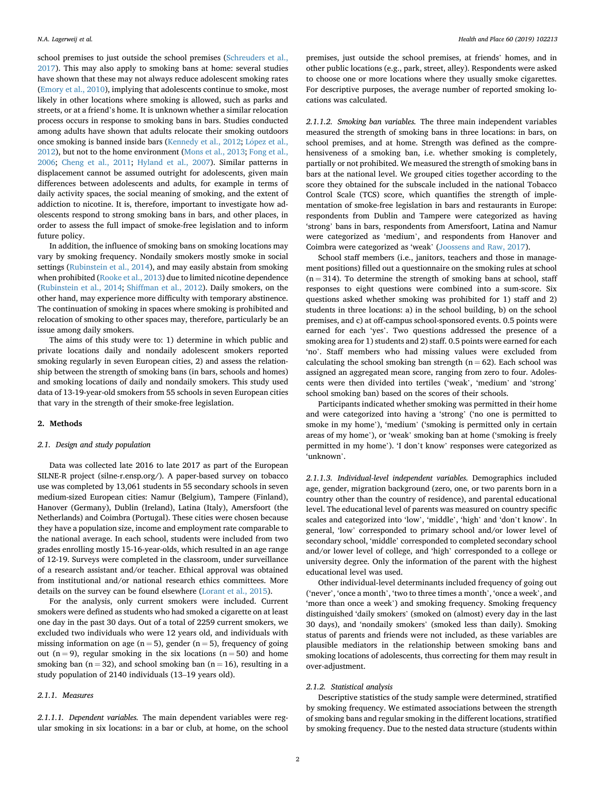school premises to just outside the school premises ([Schreuders et al.,](#page-5-0)  [2017\)](#page-5-0). This may also apply to smoking bans at home: several studies have shown that these may not always reduce adolescent smoking rates ([Emory et al., 2010\)](#page-5-0), implying that adolescents continue to smoke, most likely in other locations where smoking is allowed, such as parks and streets, or at a friend's home. It is unknown whether a similar relocation process occurs in response to smoking bans in bars. Studies conducted among adults have shown that adults relocate their smoking outdoors once smoking is banned inside bars [\(Kennedy et al., 2012](#page-5-0); López et al., [2012\)](#page-5-0), but not to the home environment ([Mons et al., 2013](#page-5-0); [Fong et al.,](#page-5-0)  [2006;](#page-5-0) [Cheng et al., 2011](#page-5-0); [Hyland et al., 2007\)](#page-5-0). Similar patterns in displacement cannot be assumed outright for adolescents, given main differences between adolescents and adults, for example in terms of daily activity spaces, the social meaning of smoking, and the extent of addiction to nicotine. It is, therefore, important to investigate how adolescents respond to strong smoking bans in bars, and other places, in order to assess the full impact of smoke-free legislation and to inform future policy.

In addition, the influence of smoking bans on smoking locations may vary by smoking frequency. Nondaily smokers mostly smoke in social settings ([Rubinstein et al., 2014\)](#page-5-0), and may easily abstain from smoking when prohibited ([Rooke et al., 2013](#page-5-0)) due to limited nicotine dependence ([Rubinstein et al., 2014](#page-5-0); [Shiffman et al., 2012\)](#page-5-0). Daily smokers, on the other hand, may experience more difficulty with temporary abstinence. The continuation of smoking in spaces where smoking is prohibited and relocation of smoking to other spaces may, therefore, particularly be an issue among daily smokers.

The aims of this study were to: 1) determine in which public and private locations daily and nondaily adolescent smokers reported smoking regularly in seven European cities, 2) and assess the relationship between the strength of smoking bans (in bars, schools and homes) and smoking locations of daily and nondaily smokers. This study used data of 13-19-year-old smokers from 55 schools in seven European cities that vary in the strength of their smoke-free legislation.

#### **2. Methods**

#### *2.1. Design and study population*

Data was collected late 2016 to late 2017 as part of the European SILNE-R project (silne-r.ensp.org/). A paper-based survey on tobacco use was completed by 13,061 students in 55 secondary schools in seven medium-sized European cities: Namur (Belgium), Tampere (Finland), Hanover (Germany), Dublin (Ireland), Latina (Italy), Amersfoort (the Netherlands) and Coimbra (Portugal). These cities were chosen because they have a population size, income and employment rate comparable to the national average. In each school, students were included from two grades enrolling mostly 15-16-year-olds, which resulted in an age range of 12-19. Surveys were completed in the classroom, under surveillance of a research assistant and/or teacher. Ethical approval was obtained from institutional and/or national research ethics committees. More details on the survey can be found elsewhere [\(Lorant et al., 2015\)](#page-5-0).

For the analysis, only current smokers were included. Current smokers were defined as students who had smoked a cigarette on at least one day in the past 30 days. Out of a total of 2259 current smokers, we excluded two individuals who were 12 years old, and individuals with missing information on age ( $n = 5$ ), gender ( $n = 5$ ), frequency of going out (n = 9), regular smoking in the six locations (n = 50) and home smoking ban ( $n = 32$ ), and school smoking ban ( $n = 16$ ), resulting in a study population of 2140 individuals (13–19 years old).

## *2.1.1. Measures*

*2.1.1.1. Dependent variables.* The main dependent variables were regular smoking in six locations: in a bar or club, at home, on the school premises, just outside the school premises, at friends' homes, and in other public locations (e.g., park, street, alley). Respondents were asked to choose one or more locations where they usually smoke cigarettes. For descriptive purposes, the average number of reported smoking locations was calculated.

*2.1.1.2. Smoking ban variables.* The three main independent variables measured the strength of smoking bans in three locations: in bars, on school premises, and at home. Strength was defined as the comprehensiveness of a smoking ban, i.e. whether smoking is completely, partially or not prohibited. We measured the strength of smoking bans in bars at the national level. We grouped cities together according to the score they obtained for the subscale included in the national Tobacco Control Scale (TCS) score, which quantifies the strength of implementation of smoke-free legislation in bars and restaurants in Europe: respondents from Dublin and Tampere were categorized as having 'strong' bans in bars, respondents from Amersfoort, Latina and Namur were categorized as 'medium', and respondents from Hanover and Coimbra were categorized as 'weak' ([Joossens and Raw, 2017](#page-5-0)).

School staff members (i.e., janitors, teachers and those in management positions) filled out a questionnaire on the smoking rules at school  $(n = 314)$ . To determine the strength of smoking bans at school, staff responses to eight questions were combined into a sum-score. Six questions asked whether smoking was prohibited for 1) staff and 2) students in three locations: a) in the school building, b) on the school premises, and c) at off-campus school-sponsored events. 0.5 points were earned for each 'yes'. Two questions addressed the presence of a smoking area for 1) students and 2) staff. 0.5 points were earned for each 'no'. Staff members who had missing values were excluded from calculating the school smoking ban strength  $(n = 62)$ . Each school was assigned an aggregated mean score, ranging from zero to four. Adolescents were then divided into tertiles ('weak', 'medium' and 'strong' school smoking ban) based on the scores of their schools.

Participants indicated whether smoking was permitted in their home and were categorized into having a 'strong' ('no one is permitted to smoke in my home'), 'medium' ('smoking is permitted only in certain areas of my home'), or 'weak' smoking ban at home ('smoking is freely permitted in my home'). 'I don't know' responses were categorized as 'unknown'.

*2.1.1.3. Individual-level independent variables.* Demographics included age, gender, migration background (zero, one, or two parents born in a country other than the country of residence), and parental educational level. The educational level of parents was measured on country specific scales and categorized into 'low', 'middle', 'high' and 'don't know'. In general, 'low' corresponded to primary school and/or lower level of secondary school, 'middle' corresponded to completed secondary school and/or lower level of college, and 'high' corresponded to a college or university degree. Only the information of the parent with the highest educational level was used.

Other individual-level determinants included frequency of going out ('never', 'once a month', 'two to three times a month', 'once a week', and 'more than once a week') and smoking frequency. Smoking frequency distinguished 'daily smokers' (smoked on (almost) every day in the last 30 days), and 'nondaily smokers' (smoked less than daily). Smoking status of parents and friends were not included, as these variables are plausible mediators in the relationship between smoking bans and smoking locations of adolescents, thus correcting for them may result in over-adjustment.

#### *2.1.2. Statistical analysis*

Descriptive statistics of the study sample were determined, stratified by smoking frequency. We estimated associations between the strength of smoking bans and regular smoking in the different locations, stratified by smoking frequency. Due to the nested data structure (students within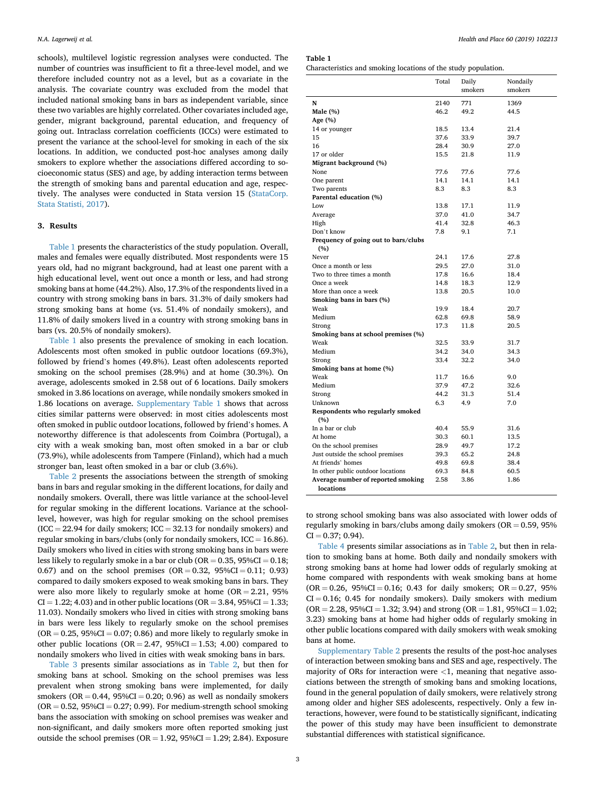schools), multilevel logistic regression analyses were conducted. The number of countries was insufficient to fit a three-level model, and we therefore included country not as a level, but as a covariate in the analysis. The covariate country was excluded from the model that included national smoking bans in bars as independent variable, since these two variables are highly correlated. Other covariates included age, gender, migrant background, parental education, and frequency of going out. Intraclass correlation coefficients (ICCs) were estimated to present the variance at the school-level for smoking in each of the six locations. In addition, we conducted post-hoc analyses among daily smokers to explore whether the associations differed according to socioeconomic status (SES) and age, by adding interaction terms between the strength of smoking bans and parental education and age, respectively. The analyses were conducted in Stata version 15 ([StataCorp.](#page-5-0)  [Stata Statisti, 2017\)](#page-5-0).

## **3. Results**

Table 1 presents the characteristics of the study population. Overall, males and females were equally distributed. Most respondents were 15 years old, had no migrant background, had at least one parent with a high educational level, went out once a month or less, and had strong smoking bans at home (44.2%). Also, 17.3% of the respondents lived in a country with strong smoking bans in bars. 31.3% of daily smokers had strong smoking bans at home (vs. 51.4% of nondaily smokers), and 11.8% of daily smokers lived in a country with strong smoking bans in bars (vs. 20.5% of nondaily smokers).

Table 1 also presents the prevalence of smoking in each location. Adolescents most often smoked in public outdoor locations (69.3%), followed by friend's homes (49.8%). Least often adolescents reported smoking on the school premises (28.9%) and at home (30.3%). On average, adolescents smoked in 2.58 out of 6 locations. Daily smokers smoked in 3.86 locations on average, while nondaily smokers smoked in 1.86 locations on average. Supplementary Table 1 shows that across cities similar patterns were observed: in most cities adolescents most often smoked in public outdoor locations, followed by friend's homes. A noteworthy difference is that adolescents from Coimbra (Portugal), a city with a weak smoking ban, most often smoked in a bar or club (73.9%), while adolescents from Tampere (Finland), which had a much stronger ban, least often smoked in a bar or club (3.6%).

[Table 2](#page-3-0) presents the associations between the strength of smoking bans in bars and regular smoking in the different locations, for daily and nondaily smokers. Overall, there was little variance at the school-level for regular smoking in the different locations. Variance at the schoollevel, however, was high for regular smoking on the school premises  $(ICC = 22.94$  for daily smokers;  $ICC = 32.13$  for nondaily smokers) and regular smoking in bars/clubs (only for nondaily smokers,  $ICC = 16.86$ ). Daily smokers who lived in cities with strong smoking bans in bars were less likely to regularly smoke in a bar or club ( $OR = 0.35$ ,  $95\%CI = 0.18$ ; 0.67) and on the school premises  $(OR = 0.32, 95\% CI = 0.11; 0.93)$ compared to daily smokers exposed to weak smoking bans in bars. They were also more likely to regularly smoke at home  $OR = 2.21$ , 95%  $CI = 1.22$ ; 4.03) and in other public locations (OR = 3.84, 95% $CI = 1.33$ ; 11.03). Nondaily smokers who lived in cities with strong smoking bans in bars were less likely to regularly smoke on the school premises  $(OR = 0.25, 95\%CI = 0.07; 0.86)$  and more likely to regularly smoke in other public locations ( $OR = 2.47$ ,  $95\%CI = 1.53$ ; 4.00) compared to nondaily smokers who lived in cities with weak smoking bans in bars.

[Table 3](#page-3-0) presents similar associations as in [Table 2,](#page-3-0) but then for smoking bans at school. Smoking on the school premises was less prevalent when strong smoking bans were implemented, for daily smokers ( $OR = 0.44$ ,  $95\%CI = 0.20$ ; 0.96) as well as nondaily smokers  $(OR = 0.52, 95\%CI = 0.27; 0.99)$ . For medium-strength school smoking bans the association with smoking on school premises was weaker and non-significant, and daily smokers more often reported smoking just outside the school premises ( $OR = 1.92$ ,  $95\%CI = 1.29$ ; 2.84). Exposure

**Table 1** 

|                                         | Total | Daily   | Nondaily |
|-----------------------------------------|-------|---------|----------|
|                                         |       | smokers | smokers  |
| N                                       | 2140  | 771     | 1369     |
| Male $(\%)$                             | 46.2  | 49.2    | 44.5     |
| Age (%)                                 |       |         |          |
| 14 or younger                           | 18.5  | 13.4    | 21.4     |
| 15                                      | 37.6  | 33.9    | 39.7     |
| 16                                      | 28.4  | 30.9    | 27.0     |
| 17 or older                             | 15.5  | 21.8    | 11.9     |
| Migrant background (%)                  |       |         |          |
| None                                    | 77.6  | 77.6    | 77.6     |
| One parent                              | 14.1  | 14.1    | 14.1     |
| Two parents                             | 8.3   | 8.3     | 8.3      |
| Parental education (%)                  |       |         |          |
| Low                                     | 13.8  | 17.1    | 11.9     |
| Average                                 | 37.0  | 41.0    | 34.7     |
| High                                    | 41.4  | 32.8    | 46.3     |
| Don't know                              | 7.8   | 9.1     | 7.1      |
| Frequency of going out to bars/clubs    |       |         |          |
| (%)                                     |       |         |          |
| Never                                   | 24.1  | 17.6    | 27.8     |
| Once a month or less                    | 29.5  | 27.0    | 31.0     |
| Two to three times a month              | 17.8  | 16.6    | 18.4     |
| Once a week                             | 14.8  | 18.3    | 12.9     |
| More than once a week                   | 13.8  | 20.5    | 10.0     |
| Smoking bans in bars (%)                |       |         |          |
| Weak                                    | 19.9  | 18.4    | 20.7     |
| Medium                                  | 62.8  | 69.8    | 58.9     |
| Strong                                  | 17.3  | 11.8    | 20.5     |
| Smoking bans at school premises (%)     |       |         |          |
| Weak                                    | 32.5  | 33.9    | 31.7     |
| Medium                                  | 34.2  | 34.0    | 34.3     |
| Strong                                  | 33.4  | 32.2    | 34.0     |
| Smoking bans at home (%)                |       |         |          |
| Weak                                    | 11.7  | 16.6    | 9.0      |
| Medium                                  | 37.9  | 47.2    | 32.6     |
| Strong                                  | 44.2  | 31.3    | 51.4     |
| Unknown                                 | 6.3   | 4.9     | 7.0      |
| Respondents who regularly smoked<br>(%) |       |         |          |
| In a bar or club                        | 40.4  | 55.9    | 31.6     |
| At home                                 | 30.3  | 60.1    | 13.5     |
| On the school premises                  | 28.9  | 49.7    | 17.2     |
| Just outside the school premises        | 39.3  | 65.2    | 24.8     |
| At friends' homes                       | 49.8  | 69.8    | 38.4     |
| In other public outdoor locations       | 69.3  | 84.8    | 60.5     |
| Average number of reported smoking      | 2.58  | 3.86    | 1.86     |
| locations                               |       |         |          |

to strong school smoking bans was also associated with lower odds of regularly smoking in bars/clubs among daily smokers ( $OR = 0.59$ , 95%  $CI = 0.37; 0.94$ .

[Table 4](#page-3-0) presents similar associations as in [Table 2](#page-3-0), but then in relation to smoking bans at home. Both daily and nondaily smokers with strong smoking bans at home had lower odds of regularly smoking at home compared with respondents with weak smoking bans at home  $(OR = 0.26, 95\%CI = 0.16; 0.43$  for daily smokers;  $OR = 0.27, 95\%$  $CI = 0.16$ ; 0.45 for nondaily smokers). Daily smokers with medium  $(OR = 2.28, 95\% CI = 1.32; 3.94)$  and strong  $(OR = 1.81, 95\% CI = 1.02;$ 3.23) smoking bans at home had higher odds of regularly smoking in other public locations compared with daily smokers with weak smoking bans at home.

Supplementary Table 2 presents the results of the post-hoc analyses of interaction between smoking bans and SES and age, respectively. The majority of ORs for interaction were *<*1, meaning that negative associations between the strength of smoking bans and smoking locations, found in the general population of daily smokers, were relatively strong among older and higher SES adolescents, respectively. Only a few interactions, however, were found to be statistically significant, indicating the power of this study may have been insufficient to demonstrate substantial differences with statistical significance.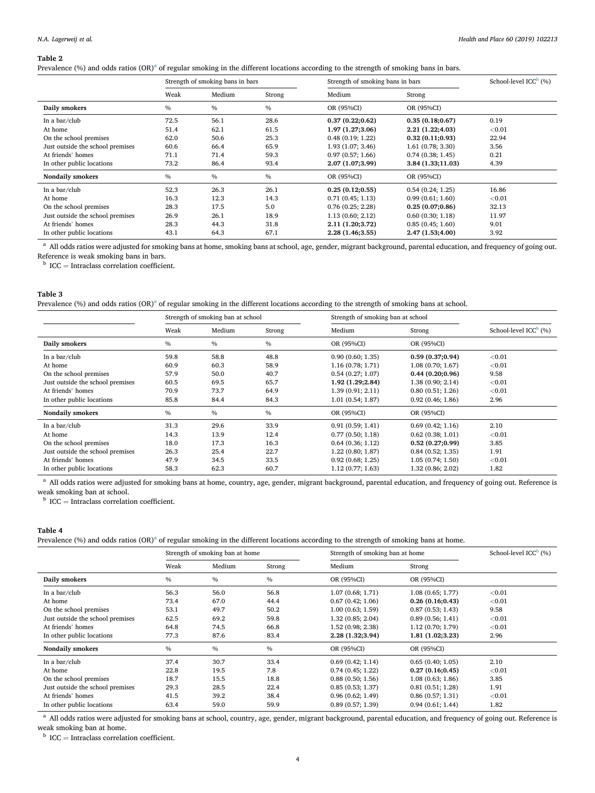#### <span id="page-3-0"></span>**Table 2**

Prevalence (%) and odds ratios (OR)<sup>a</sup> of regular smoking in the different locations according to the strength of smoking bans in bars.

|                                  | Strength of smoking bans in bars |               |        | Strength of smoking bans in bars | School-level $ICCb(%)$ |        |
|----------------------------------|----------------------------------|---------------|--------|----------------------------------|------------------------|--------|
|                                  | Weak                             | Medium        | Strong | Medium                           | Strong                 |        |
| Daily smokers                    | $\frac{0}{0}$                    | $\frac{0}{6}$ | $\%$   | OR (95%CI)                       | OR (95%CI)             |        |
| In a $bar/club$                  | 72.5                             | 56.1          | 28.6   | 0.37(0.22;0.62)                  | 0.35(0.18;0.67)        | 0.19   |
| At home                          | 51.4                             | 62.1          | 61.5   | 1.97 (1.27;3.06)                 | 2.21 (1.22;4.03)       | < 0.01 |
| On the school premises           | 62.0                             | 50.6          | 25.3   | 0.48(0.19; 1.22)                 | 0.32(0.11;0.93)        | 22.94  |
| Just outside the school premises | 60.6                             | 66.4          | 65.9   | 1.93(1.07; 3.46)                 | 1.61(0.78; 3.30)       | 3.56   |
| At friends' homes                | 71.1                             | 71.4          | 59.3   | 0.97(0.57; 1.66)                 | 0.74(0.38; 1.45)       | 0.21   |
| In other public locations        | 73.2                             | 86.4          | 93.4   | 2.07 (1.07;3.99)                 | 3.84 (1.33;11.03)      | 4.39   |
| Nondaily smokers                 | $\frac{0}{0}$                    | $\frac{0}{6}$ | $\%$   | OR (95%CI)                       | OR (95%CI)             |        |
| In a bar/club                    | 52.3                             | 26.3          | 26.1   | 0.25(0.12;0.55)                  | 0.54(0.24; 1.25)       | 16.86  |
| At home                          | 16.3                             | 12.3          | 14.3   | 0.71(0.45; 1.13)                 | 0.99(0.61; 1.60)       | < 0.01 |
| On the school premises           | 28.3                             | 17.5          | 5.0    | 0.76(0.25; 2.28)                 | 0.25(0.07;0.86)        | 32.13  |
| Just outside the school premises | 26.9                             | 26.1          | 18.9   | 1.13(0.60; 2.12)                 | 0.60(0.30; 1.18)       | 11.97  |
| At friends' homes                | 28.3                             | 44.3          | 31.8   | 2.11 (1.20;3.72)                 | 0.85(0.45; 1.60)       | 9.01   |
| In other public locations        | 43.1                             | 64.3          | 67.1   | 2.28 (1.46;3.55)                 | 2.47 (1.53;4.00)       | 3.92   |

<sup>a</sup> All odds ratios were adjusted for smoking bans at home, smoking bans at school, age, gender, migrant background, parental education, and frequency of going out. Reference is weak smoking bans in bars. b ICC  $=$  Intraclass correlation coefficient.

#### **Table 3**

Prevalence (%) and odds ratios (OR)<sup>a</sup> of regular smoking in the different locations according to the strength of smoking bans at school.

|                                  | Strength of smoking ban at school |        | Strength of smoking ban at school |                  |                  |                        |
|----------------------------------|-----------------------------------|--------|-----------------------------------|------------------|------------------|------------------------|
|                                  | Weak                              | Medium | Strong                            | Medium           | Strong           | School-level $ICCb(%)$ |
| Daily smokers                    | $\frac{0}{0}$                     | $\%$   | $\%$                              | OR (95%CI)       | OR (95%CI)       |                        |
| In a bar/club                    | 59.8                              | 58.8   | 48.8                              | 0.90(0.60; 1.35) | 0.59(0.37;0.94)  | < 0.01                 |
| At home                          | 60.9                              | 60.3   | 58.9                              | 1.16(0.78; 1.71) | 1.08(0.70; 1.67) | < 0.01                 |
| On the school premises           | 57.9                              | 50.0   | 40.7                              | 0.54(0.27; 1.07) | 0.44(0.20;0.96)  | 9.58                   |
| Just outside the school premises | 60.5                              | 69.5   | 65.7                              | 1.92 (1.29;2.84) | 1.38(0.90; 2.14) | < 0.01                 |
| At friends' homes                | 70.9                              | 73.7   | 64.9                              | 1.39(0.91; 2.11) | 0.80(0.51; 1.26) | < 0.01                 |
| In other public locations        | 85.8                              | 84.4   | 84.3                              | 1.01(0.54; 1.87) | 0.92(0.46; 1.86) | 2.96                   |
| Nondaily smokers                 | $\%$                              | $\%$   | $\%$                              | OR (95%CI)       | OR (95%CI)       |                        |
| In a bar/club                    | 31.3                              | 29.6   | 33.9                              | 0.91(0.59; 1.41) | 0.69(0.42; 1.16) | 2.10                   |
| At home                          | 14.3                              | 13.9   | 12.4                              | 0.77(0.50; 1.18) | 0.62(0.38; 1.01) | < 0.01                 |
| On the school premises           | 18.0                              | 17.3   | 16.3                              | 0.64(0.36; 1.12) | 0.52(0.27;0.99)  | 3.85                   |
| Just outside the school premises | 26.3                              | 25.4   | 22.7                              | 1.22(0.80; 1.87) | 0.84(0.52; 1.35) | 1.91                   |
| At friends' homes                | 47.9                              | 34.5   | 33.5                              | 0.92(0.68; 1.25) | 1.05(0.74; 1.50) | < 0.01                 |
| In other public locations        | 58.3                              | 62.3   | 60.7                              | 1.12(0.77; 1.63) | 1.32(0.86; 2.02) | 1.82                   |

<sup>a</sup> All odds ratios were adjusted for smoking bans at home, country, age, gender, migrant background, parental education, and frequency of going out. Reference is weak smoking ban at school.

 $\frac{b}{b}$  ICC = Intraclass correlation coefficient.

#### **Table 4**

Prevalence (%) and odds ratios (OR)<sup>a</sup> of regular smoking in the different locations according to the strength of smoking bans at home.

|                                  | Strength of smoking ban at home |               | Strength of smoking ban at home |                   | School-level $ICCb(%)$ |        |
|----------------------------------|---------------------------------|---------------|---------------------------------|-------------------|------------------------|--------|
|                                  | Weak                            | Medium        | Strong                          | Medium            | Strong                 |        |
| Daily smokers                    | $\%$                            | $\%$          | $\%$                            | OR (95%CI)        | OR (95%CI)             |        |
| In a bar/club                    | 56.3                            | 56.0          | 56.8                            | 1.07(0.68; 1.71)  | 1.08(0.65; 1.77)       | < 0.01 |
| At home                          | 73.4                            | 67.0          | 44.4                            | 0.67(0.42; 1.06)  | 0.26(0.16;0.43)        | < 0.01 |
| On the school premises           | 53.1                            | 49.7          | 50.2                            | 1.00(0.63; 1.59)  | 0.87(0.53; 1.43)       | 9.58   |
| Just outside the school premises | 62.5                            | 69.2          | 59.8                            | 1.32(0.85; 2.04)  | 0.89(0.56; 1.41)       | < 0.01 |
| At friends' homes                | 64.8                            | 74.5          | 66.8                            | 1.52 (0.98; 2.38) | 1.12(0.70; 1.79)       | < 0.01 |
| In other public locations        | 77.3                            | 87.6          | 83.4                            | 2.28 (1.32;3.94)  | 1.81(1.02; 3.23)       | 2.96   |
| <b>Nondaily smokers</b>          | $\frac{0}{0}$                   | $\frac{0}{0}$ | $\%$                            | OR (95%CI)        | OR (95%CI)             |        |
| In a bar/club                    | 37.4                            | 30.7          | 33.4                            | 0.69(0.42; 1.14)  | 0.65(0.40; 1.05)       | 2.10   |
| At home                          | 22.8                            | 19.5          | 7.8                             | 0.74(0.45; 1.22)  | 0.27(0.16;0.45)        | < 0.01 |
| On the school premises           | 18.7                            | 15.5          | 18.8                            | 0.88(0.50; 1.56)  | 1.08(0.63; 1.86)       | 3.85   |
| Just outside the school premises | 29.3                            | 28.5          | 22.4                            | 0.85(0.53; 1.37)  | 0.81(0.51; 1.28)       | 1.91   |
| At friends' homes                | 41.5                            | 39.2          | 38.4                            | 0.96(0.62; 1.49)  | 0.86(0.57; 1.31)       | < 0.01 |
| In other public locations        | 63.4                            | 59.0          | 59.9                            | 0.89(0.57; 1.39)  | 0.94(0.61; 1.44)       | 1.82   |

<sup>a</sup> All odds ratios were adjusted for smoking bans at school, country, age, gender, migrant background, parental education, and frequency of going out. Reference is weak smoking ban at home.

 $b$  ICC = Intraclass correlation coefficient.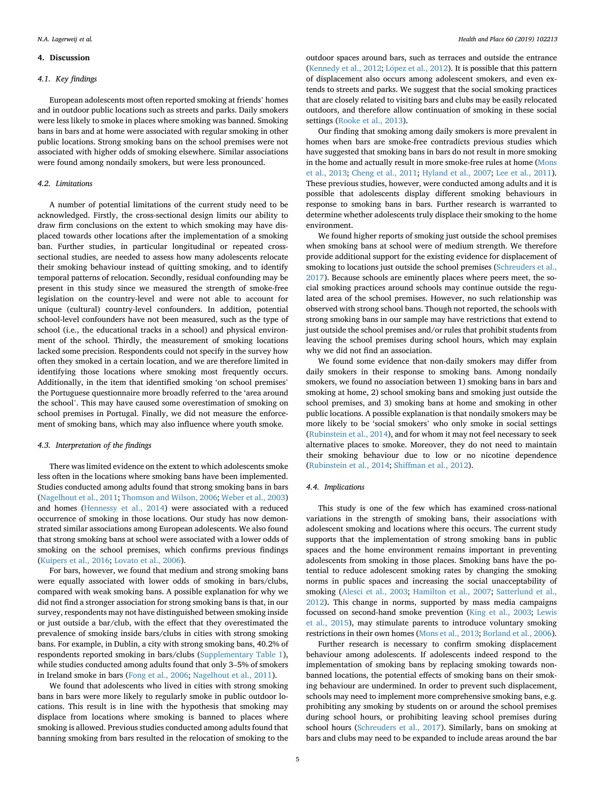## **4. Discussion**

## *4.1. Key findings*

European adolescents most often reported smoking at friends' homes and in outdoor public locations such as streets and parks. Daily smokers were less likely to smoke in places where smoking was banned. Smoking bans in bars and at home were associated with regular smoking in other public locations. Strong smoking bans on the school premises were not associated with higher odds of smoking elsewhere. Similar associations were found among nondaily smokers, but were less pronounced.

## *4.2. Limitations*

A number of potential limitations of the current study need to be acknowledged. Firstly, the cross-sectional design limits our ability to draw firm conclusions on the extent to which smoking may have displaced towards other locations after the implementation of a smoking ban. Further studies, in particular longitudinal or repeated crosssectional studies, are needed to assess how many adolescents relocate their smoking behaviour instead of quitting smoking, and to identify temporal patterns of relocation. Secondly, residual confounding may be present in this study since we measured the strength of smoke-free legislation on the country-level and were not able to account for unique (cultural) country-level confounders. In addition, potential school-level confounders have not been measured, such as the type of school (i.e., the educational tracks in a school) and physical environment of the school. Thirdly, the measurement of smoking locations lacked some precision. Respondents could not specify in the survey how often they smoked in a certain location, and we are therefore limited in identifying those locations where smoking most frequently occurs. Additionally, in the item that identified smoking 'on school premises' the Portuguese questionnaire more broadly referred to the 'area around the school'. This may have caused some overestimation of smoking on school premises in Portugal. Finally, we did not measure the enforcement of smoking bans, which may also influence where youth smoke.

## *4.3. Interpretation of the findings*

There was limited evidence on the extent to which adolescents smoke less often in the locations where smoking bans have been implemented. Studies conducted among adults found that strong smoking bans in bars ([Nagelhout et al., 2011](#page-5-0); [Thomson and Wilson, 2006; Weber et al., 2003\)](#page-5-0) and homes [\(Hennessy et al., 2014\)](#page-5-0) were associated with a reduced occurrence of smoking in those locations. Our study has now demonstrated similar associations among European adolescents. We also found that strong smoking bans at school were associated with a lower odds of smoking on the school premises, which confirms previous findings ([Kuipers et al., 2016;](#page-5-0) [Lovato et al., 2006](#page-5-0)).

For bars, however, we found that medium and strong smoking bans were equally associated with lower odds of smoking in bars/clubs, compared with weak smoking bans. A possible explanation for why we did not find a stronger association for strong smoking bans is that, in our survey, respondents may not have distinguished between smoking inside or just outside a bar/club, with the effect that they overestimated the prevalence of smoking inside bars/clubs in cities with strong smoking bans. For example, in Dublin, a city with strong smoking bans, 40.2% of respondents reported smoking in bars/clubs (Supplementary Table 1), while studies conducted among adults found that only 3–5% of smokers in Ireland smoke in bars ([Fong et al., 2006; Nagelhout et al., 2011](#page-5-0)).

We found that adolescents who lived in cities with strong smoking bans in bars were more likely to regularly smoke in public outdoor locations. This result is in line with the hypothesis that smoking may displace from locations where smoking is banned to places where smoking is allowed. Previous studies conducted among adults found that banning smoking from bars resulted in the relocation of smoking to the outdoor spaces around bars, such as terraces and outside the entrance ([Kennedy et al., 2012;](#page-5-0) López [et al., 2012](#page-5-0)). It is possible that this pattern of displacement also occurs among adolescent smokers, and even extends to streets and parks. We suggest that the social smoking practices that are closely related to visiting bars and clubs may be easily relocated outdoors, and therefore allow continuation of smoking in these social settings ([Rooke et al., 2013](#page-5-0)).

Our finding that smoking among daily smokers is more prevalent in homes when bars are smoke-free contradicts previous studies which have suggested that smoking bans in bars do not result in more smoking in the home and actually result in more smoke-free rules at home ([Mons](#page-5-0)  [et al., 2013](#page-5-0); [Cheng et al., 2011;](#page-5-0) [Hyland et al., 2007;](#page-5-0) [Lee et al., 2011](#page-5-0)). These previous studies, however, were conducted among adults and it is possible that adolescents display different smoking behaviours in response to smoking bans in bars. Further research is warranted to determine whether adolescents truly displace their smoking to the home environment.

We found higher reports of smoking just outside the school premises when smoking bans at school were of medium strength. We therefore provide additional support for the existing evidence for displacement of smoking to locations just outside the school premises (Schreuders et al., [2017\)](#page-5-0). Because schools are eminently places where peers meet, the social smoking practices around schools may continue outside the regulated area of the school premises. However, no such relationship was observed with strong school bans. Though not reported, the schools with strong smoking bans in our sample may have restrictions that extend to just outside the school premises and/or rules that prohibit students from leaving the school premises during school hours, which may explain why we did not find an association.

We found some evidence that non-daily smokers may differ from daily smokers in their response to smoking bans. Among nondaily smokers, we found no association between 1) smoking bans in bars and smoking at home, 2) school smoking bans and smoking just outside the school premises, and 3) smoking bans at home and smoking in other public locations. A possible explanation is that nondaily smokers may be more likely to be 'social smokers' who only smoke in social settings ([Rubinstein et al., 2014](#page-5-0)), and for whom it may not feel necessary to seek alternative places to smoke. Moreover, they do not need to maintain their smoking behaviour due to low or no nicotine dependence ([Rubinstein et al., 2014](#page-5-0); [Shiffman et al., 2012\)](#page-5-0).

### *4.4. Implications*

This study is one of the few which has examined cross-national variations in the strength of smoking bans, their associations with adolescent smoking and locations where this occurs. The current study supports that the implementation of strong smoking bans in public spaces and the home environment remains important in preventing adolescents from smoking in those places. Smoking bans have the potential to reduce adolescent smoking rates by changing the smoking norms in public spaces and increasing the social unacceptability of smoking [\(Alesci et al., 2003](#page-5-0); [Hamilton et al., 2007;](#page-5-0) [Satterlund et al.,](#page-5-0)  [2012\)](#page-5-0). This change in norms, supported by mass media campaigns focussed on second-hand smoke prevention [\(King et al., 2003](#page-5-0); [Lewis](#page-5-0)  [et al., 2015](#page-5-0)), may stimulate parents to introduce voluntary smoking restrictions in their own homes ([Mons et al., 2013; Borland et al., 2006](#page-5-0)).

Further research is necessary to confirm smoking displacement behaviour among adolescents. If adolescents indeed respond to the implementation of smoking bans by replacing smoking towards nonbanned locations, the potential effects of smoking bans on their smoking behaviour are undermined. In order to prevent such displacement, schools may need to implement more comprehensive smoking bans, e.g. prohibiting any smoking by students on or around the school premises during school hours, or prohibiting leaving school premises during school hours [\(Schreuders et al., 2017](#page-5-0)). Similarly, bans on smoking at bars and clubs may need to be expanded to include areas around the bar